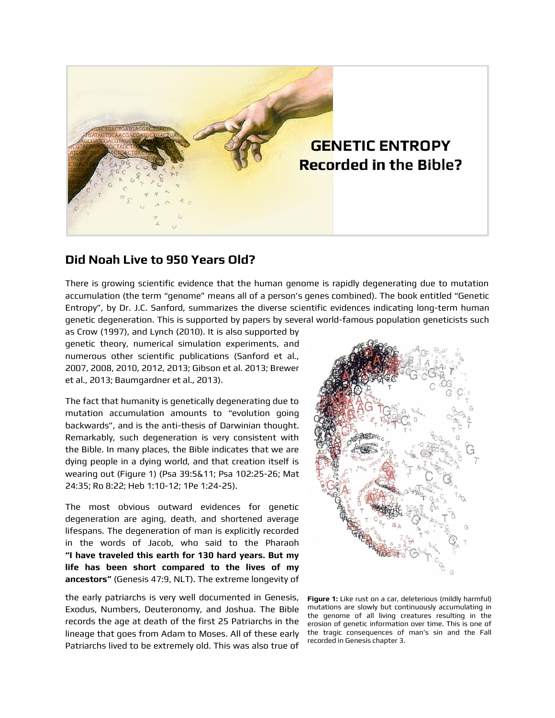

## **Did Noah Live to 950 Years Old?**

There is growing scientific evidence that the human genome is rapidly degenerating due to mutation accumulation (the term "genome" means all of a person's genes combined). The book entitled "Genetic Entropy", by Dr. J.C. Sanford, summarizes the diverse scientific evidences indicating long-term human genetic degeneration. This is supported by papers by several world-famous population geneticists such

as Crow (1997), and Lynch (2010). It is also supported by genetic theory, numerical simulation experiments, and numerous other scientific publications (Sanford et al., 2007, 2008, 2010, 2012, 2013; Gibson et al. 2013; Brewer et al., 2013; Baumgardner et al., 2013).

The fact that humanity is genetically degenerating due to mutation accumulation amounts to "evolution going backwards", and is the anti-thesis of Darwinian thought. Remarkably, such degeneration is very consistent with the Bible. In many places, the Bible indicates that we are dying people in a dying world, and that creation itself is wearing out (Figure 1) (Psa 39:5&11; Psa 102:25-26; Mat 24:35; Ro 8:22; Heb 1:10-12; 1Pe 1:24-25).

The most obvious outward evidences for genetic degeneration are aging, death, and shortened average lifespans. The degeneration of man is explicitly recorded in the words of Jacob, who said to the Pharaoh **"I have traveled this earth for 130 hard years. But my life has been short compared to the lives of my ancestors"** (Genesis 47:9, NLT). The extreme longevity of

the early patriarchs is very well documented in Genesis, Exodus, Numbers, Deuteronomy, and Joshua. The Bible records the age at death of the first 25 Patriarchs in the lineage that goes from Adam to Moses. All of these early Patriarchs lived to be extremely old. This was also true of



**Figure 1:** Like rust on a car, deleterious (mildly harmful) mutations are slowly but continuously accumulating in the genome of all living creatures resulting in the erosion of genetic information over time. This is one of the tragic consequences of man's sin and the Fall recorded in Genesis chapter 3.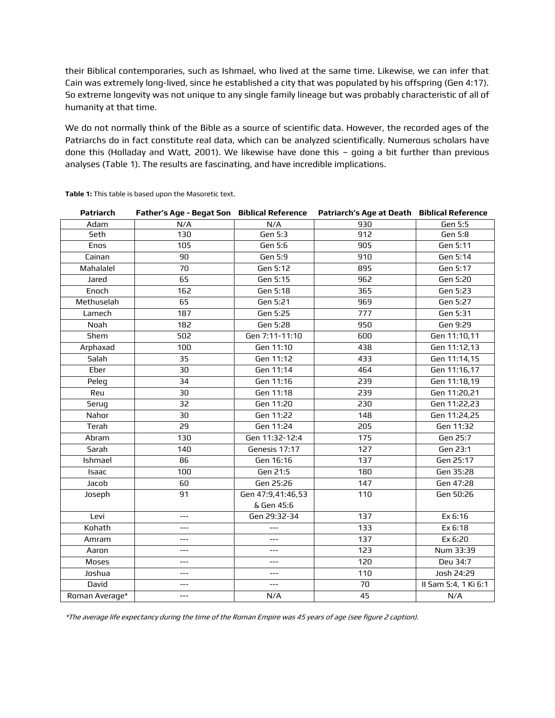their Biblical contemporaries, such as Ishmael, who lived at the same time. Likewise, we can infer that Cain was extremely long-lived, since he established a city that was populated by his offspring (Gen 4:17). So extreme longevity was not unique to any single family lineage but was probably characteristic of all of humanity at that time.

We do not normally think of the Bible as a source of scientific data. However, the recorded ages of the Patriarchs do in fact constitute real data, which can be analyzed scientifically. Numerous scholars have done this (Holladay and Watt, 2001). We likewise have done this – going a bit further than previous analyses (Table 1). The results are fascinating, and have incredible implications.

| <b>Patriarch</b> | Father's Age - Begat Son Biblical Reference |                   | Patriarch's Age at Death Biblical Reference |                      |
|------------------|---------------------------------------------|-------------------|---------------------------------------------|----------------------|
| Adam             | N/A                                         | N/A               | 930                                         | Gen 5:5              |
| Seth             | 130                                         | Gen 5:3           | 912                                         | <b>Gen 5:8</b>       |
| Enos             | 105                                         | Gen 5:6           | 905                                         | Gen 5:11             |
| Cainan           | 90                                          | <b>Gen 5:9</b>    | $\overline{910}$                            | Gen 5:14             |
| Mahalalel        | 70                                          | Gen 5:12          | 895                                         | Gen 5:17             |
| Jared            | 65                                          | Gen 5:15          | 962                                         | Gen 5:20             |
| Enoch            | 162                                         | Gen 5:18          | 365                                         | Gen 5:23             |
| Methuselah       | 65                                          | Gen 5:21          | 969                                         | Gen 5:27             |
| Lamech           | 187                                         | Gen 5:25          | 777                                         | Gen 5:31             |
| Noah             | 182                                         | Gen 5:28          | 950                                         | Gen 9:29             |
| Shem             | 502                                         | Gen 7:11-11:10    | 600                                         | Gen 11:10,11         |
| Arphaxad         | 100                                         | Gen 11:10         | 438                                         | Gen 11:12,13         |
| Salah            | 35                                          | Gen 11:12         | 433                                         | Gen 11:14,15         |
| Eber             | 30                                          | Gen 11:14         | 464                                         | Gen 11:16,17         |
| Peleg            | 34                                          | Gen 11:16         | 239                                         | Gen 11:18,19         |
| Reu              | 30                                          | Gen 11:18         | 239                                         | Gen 11:20,21         |
| Serug            | 32                                          | Gen 11:20         | 230                                         | Gen 11:22,23         |
| Nahor            | 30                                          | Gen 11:22         | 148                                         | Gen 11:24,25         |
| Terah            | 29                                          | Gen 11:24         | 205                                         | Gen 11:32            |
| Abram            | 130                                         | Gen 11:32-12:4    | 175                                         | Gen 25:7             |
| Sarah            | 140                                         | Genesis 17:17     | 127                                         | Gen 23:1             |
| Ishmael          | 86                                          | Gen 16:16         | 137                                         | Gen 25:17            |
| Isaac            | 100                                         | Gen 21:5          | 180                                         | Gen 35:28            |
| Jacob            | 60                                          | Gen 25:26         | 147                                         | Gen 47:28            |
| Joseph           | 91                                          | Gen 47:9,41:46,53 | 110                                         | Gen 50:26            |
|                  |                                             | & Gen 45:6        |                                             |                      |
| Levi             | ---                                         | Gen 29:32-34      | 137                                         | Ex 6:16              |
| Kohath           | $---$                                       | ---               | 133                                         | Ex 6:18              |
| Amram            | ---                                         | ---               | 137                                         | Ex 6:20              |
| Aaron            | ---                                         | ---               | 123                                         | Num 33:39            |
| Moses            | ---                                         |                   | 120                                         | Deu 34:7             |
| Joshua           | ---                                         | $---$             | 110                                         | Josh 24:29           |
| David            | ---                                         | $---$             | 70                                          | II Sam 5:4, 1 Ki 6:1 |
| Roman Average*   | ---                                         | N/A               | 45                                          | N/A                  |

**Table 1:** This table is based upon the Masoretic text.

\*The average life expectancy during the time of the Roman Empire was 45 years of age (see figure 2 caption).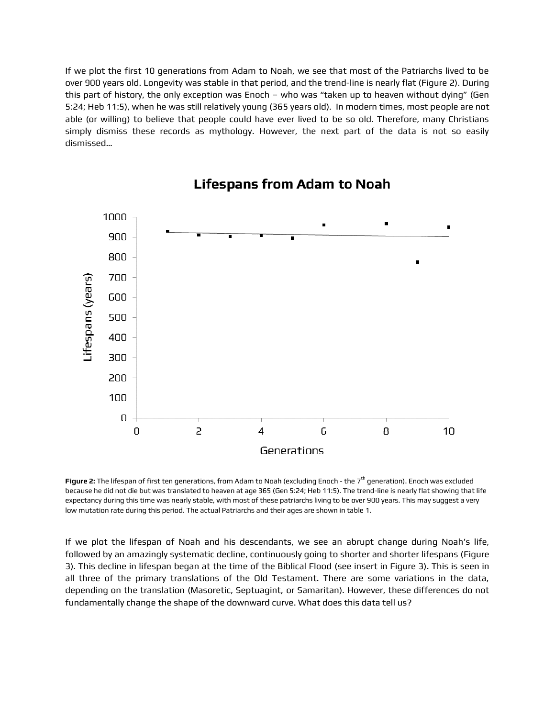If we plot the first 10 generations from Adam to Noah, we see that most of the Patriarchs lived to be over 900 years old. Longevity was stable in that period, and the trend-line is nearly flat (Figure 2). During this part of history, the only exception was Enoch – who was "taken up to heaven without dying" (Gen 5:24; Heb 11:5), when he was still relatively young (365 years old). In modern times, most people are not able (or willing) to believe that people could have ever lived to be so old. Therefore, many Christians simply dismiss these records as mythology. However, the next part of the data is not so easily dismissed…

![](_page_2_Figure_1.jpeg)

## **Lifespans from Adam to Noah**

**Figure 2:** The lifespan of first ten generations, from Adam to Noah (excluding Enoch - the 7th generation). Enoch was excluded because he did not die but was translated to heaven at age 365 (Gen 5:24; Heb 11:5). The trend-line is nearly flat showing that life expectancy during this time was nearly stable, with most of these patriarchs living to be over 900 years. This may suggest a very low mutation rate during this period. The actual Patriarchs and their ages are shown in table 1.

If we plot the lifespan of Noah and his descendants, we see an abrupt change during Noah's life, followed by an amazingly systematic decline, continuously going to shorter and shorter lifespans (Figure 3). This decline in lifespan began at the time of the Biblical Flood (see insert in Figure 3). This is seen in all three of the primary translations of the Old Testament. There are some variations in the data, depending on the translation (Masoretic, Septuagint, or Samaritan). However, these differences do not fundamentally change the shape of the downward curve. What does this data tell us?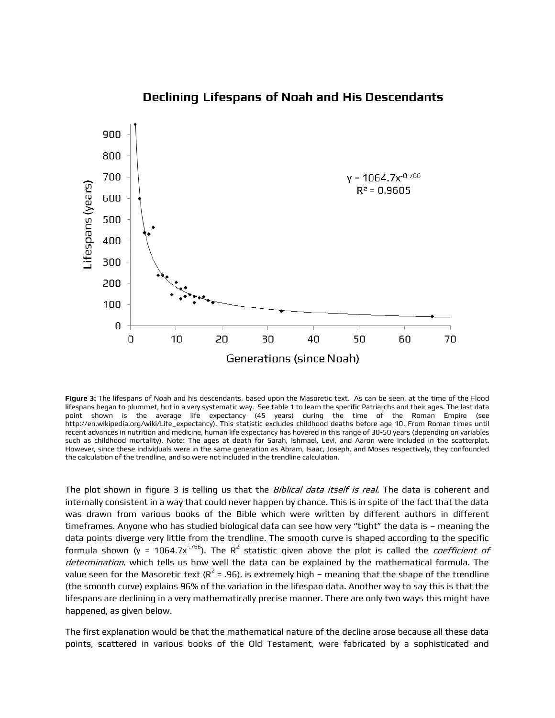![](_page_3_Figure_0.jpeg)

### **Declining Lifespans of Noah and His Descendants**

**Figure 3:** The lifespans of Noah and his descendants, based upon the Masoretic text. As can be seen, at the time of the Flood lifespans began to plummet, but in a very systematic way. See table 1 to learn the specific Patriarchs and their ages. The last data point shown is the average life expectancy (45 years) during the time of the Roman Empire (see http://en.wikipedia.org/wiki/Life\_expectancy). This statistic excludes childhood deaths before age 10. From Roman times until recent advances in nutrition and medicine, human life expectancy has hovered in this range of 30-50 years (depending on variables such as childhood mortality). Note: The ages at death for Sarah, Ishmael, Levi, and Aaron were included in the scatterplot. However, since these individuals were in the same generation as Abram, Isaac, Joseph, and Moses respectively, they confounded the calculation of the trendline, and so were not included in the trendline calculation.

The plot shown in figure 3 is telling us that the *Biblical data itself is real*. The data is coherent and internally consistent in a way that could never happen by chance. This is in spite of the fact that the data was drawn from various books of the Bible which were written by different authors in different timeframes. Anyone who has studied biological data can see how very "tight" the data is – meaning the data points diverge very little from the trendline. The smooth curve is shaped according to the specific formula shown (y = 1064.7x<sup>-.766</sup>). The R<sup>2</sup> statistic given above the plot is called the *coefficient of* determination, which tells us how well the data can be explained by the mathematical formula. The value seen for the Masoretic text (R $^2$  = .96), is extremely high – meaning that the shape of the trendline (the smooth curve) explains 96% of the variation in the lifespan data. Another way to say this is that the lifespans are declining in a very mathematically precise manner. There are only two ways this might have happened, as given below.

The first explanation would be that the mathematical nature of the decline arose because all these data points, scattered in various books of the Old Testament, were fabricated by a sophisticated and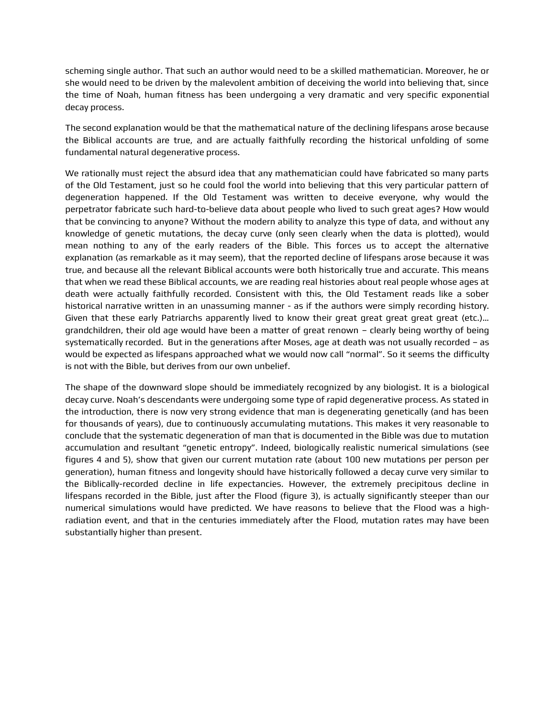scheming single author. That such an author would need to be a skilled mathematician. Moreover, he or she would need to be driven by the malevolent ambition of deceiving the world into believing that, since the time of Noah, human fitness has been undergoing a very dramatic and very specific exponential decay process.

The second explanation would be that the mathematical nature of the declining lifespans arose because the Biblical accounts are true, and are actually faithfully recording the historical unfolding of some fundamental natural degenerative process.

We rationally must reject the absurd idea that any mathematician could have fabricated so many parts of the Old Testament, just so he could fool the world into believing that this very particular pattern of degeneration happened. If the Old Testament was written to deceive everyone, why would the perpetrator fabricate such hard-to-believe data about people who lived to such great ages? How would that be convincing to anyone? Without the modern ability to analyze this type of data, and without any knowledge of genetic mutations, the decay curve (only seen clearly when the data is plotted), would mean nothing to any of the early readers of the Bible. This forces us to accept the alternative explanation (as remarkable as it may seem), that the reported decline of lifespans arose because it was true, and because all the relevant Biblical accounts were both historically true and accurate. This means that when we read these Biblical accounts, we are reading real histories about real people whose ages at death were actually faithfully recorded. Consistent with this, the Old Testament reads like a sober historical narrative written in an unassuming manner - as if the authors were simply recording history. Given that these early Patriarchs apparently lived to know their great great great great great (etc.)… grandchildren, their old age would have been a matter of great renown – clearly being worthy of being systematically recorded. But in the generations after Moses, age at death was not usually recorded – as would be expected as lifespans approached what we would now call "normal". So it seems the difficulty is not with the Bible, but derives from our own unbelief.

The shape of the downward slope should be immediately recognized by any biologist. It is a biological decay curve. Noah's descendants were undergoing some type of rapid degenerative process. As stated in the introduction, there is now very strong evidence that man is degenerating genetically (and has been for thousands of years), due to continuously accumulating mutations. This makes it very reasonable to conclude that the systematic degeneration of man that is documented in the Bible was due to mutation accumulation and resultant "genetic entropy". Indeed, biologically realistic numerical simulations (see figures 4 and 5), show that given our current mutation rate (about 100 new mutations per person per generation), human fitness and longevity should have historically followed a decay curve very similar to the Biblically-recorded decline in life expectancies. However, the extremely precipitous decline in lifespans recorded in the Bible, just after the Flood (figure 3), is actually significantly steeper than our numerical simulations would have predicted. We have reasons to believe that the Flood was a highradiation event, and that in the centuries immediately after the Flood, mutation rates may have been substantially higher than present.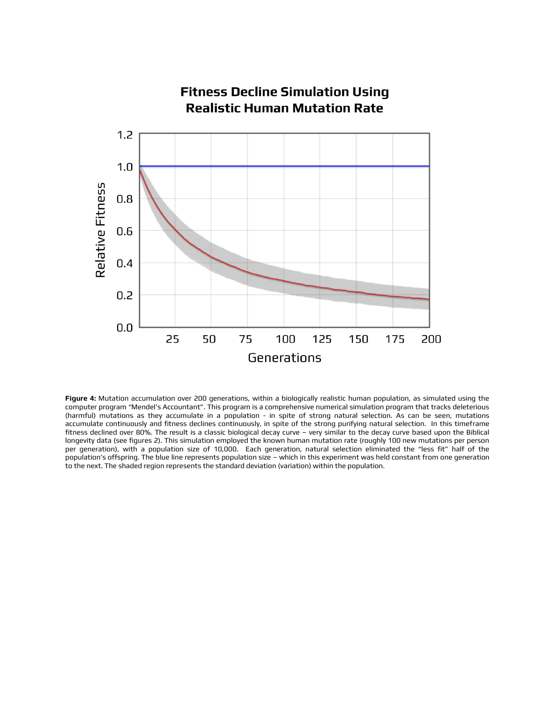![](_page_5_Figure_0.jpeg)

**Figure 4:** Mutation accumulation over 200 generations, within a biologically realistic human population, as simulated using the computer program "Mendel's Accountant". This program is a comprehensive numerical simulation program that tracks deleterious (harmful) mutations as they accumulate in a population - in spite of strong natural selection. As can be seen, mutations accumulate continuously and fitness declines continuously, in spite of the strong purifying natural selection. In this timeframe fitness declined over 80%. The result is a classic biological decay curve – very similar to the decay curve based upon the Biblical longevity data (see figures 2). This simulation employed the known human mutation rate (roughly 100 new mutations per person per generation), with a population size of 10,000. Each generation, natural selection eliminated the "less fit" half of the population's offspring. The blue line represents population size – which in this experiment was held constant from one generation to the next. The shaded region represents the standard deviation (variation) within the population.

# **Fitness Decline Simulation Using**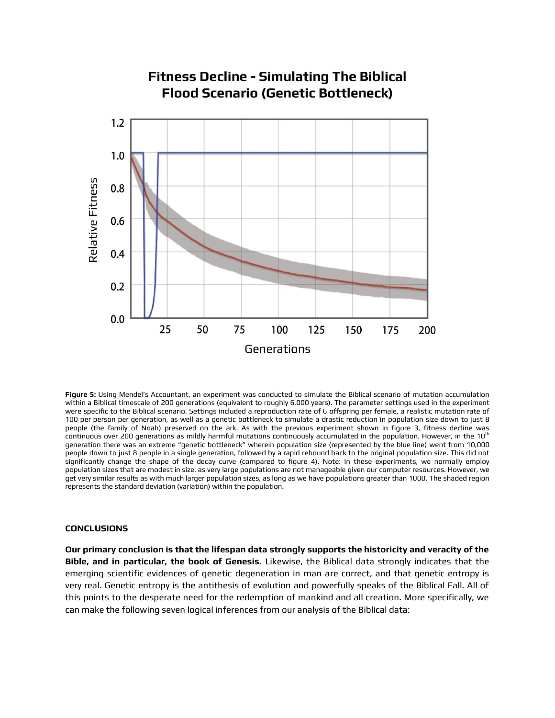![](_page_6_Figure_0.jpeg)

**Figure 5:** Using Mendel's Accountant, an experiment was conducted to simulate the Biblical scenario of mutation accumulation within a Biblical timescale of 200 generations (equivalent to roughly 6,000 years). The parameter settings used in the experiment were specific to the Biblical scenario. Settings included a reproduction rate of 6 offspring per female, a realistic mutation rate of 100 per person per generation, as well as a genetic bottleneck to simulate a drastic reduction in population size down to just 8 people (the family of Noah) preserved on the ark. As with the previous experiment shown in figure 3, fitness decline was continuous over 200 generations as mildly harmful mutations continuously accumulated in the population. However, in the  $10^{th}$ generation there was an extreme "genetic bottleneck" wherein population size (represented by the blue line) went from 10,000 people down to just 8 people in a single generation, followed by a rapid rebound back to the original population size. This did not significantly change the shape of the decay curve (compared to figure 4). Note: In these experiments, we normally employ population sizes that are modest in size, as very large populations are not manageable given our computer resources. However, we get very similar results as with much larger population sizes, as long as we have populations greater than 1000. The shaded region represents the standard deviation (variation) within the population.

#### **CONCLUSIONS**

**Our primary conclusion is that the lifespan data strongly supports the historicity and veracity of the Bible, and in particular, the book of Genesis.** Likewise, the Biblical data strongly indicates that the emerging scientific evidences of genetic degeneration in man are correct, and that genetic entropy is very real. Genetic entropy is the antithesis of evolution and powerfully speaks of the Biblical Fall. All of this points to the desperate need for the redemption of mankind and all creation. More specifically, we can make the following seven logical inferences from our analysis of the Biblical data: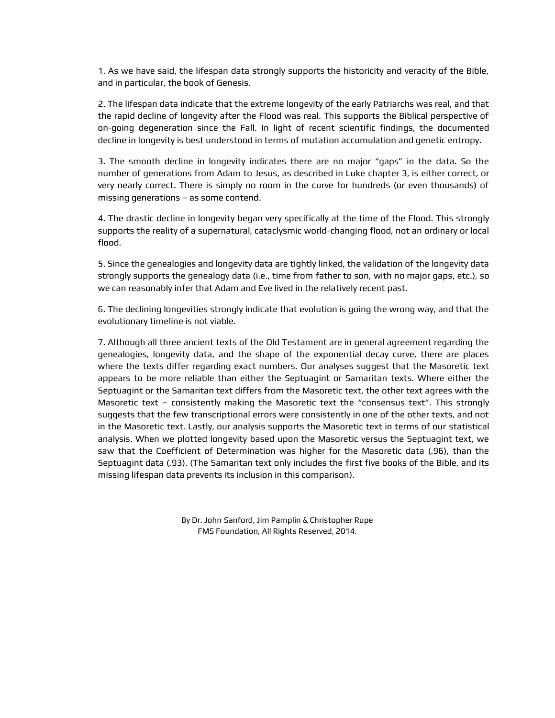1. As we have said, the lifespan data strongly supports the historicity and veracity of the Bible, and in particular, the book of Genesis.

2. The lifespan data indicate that the extreme longevity of the early Patriarchs was real, and that the rapid decline of longevity after the Flood was real. This supports the Biblical perspective of on-going degeneration since the Fall. In light of recent scientific findings, the documented decline in longevity is best understood in terms of mutation accumulation and genetic entropy.

3. The smooth decline in longevity indicates there are no major "gaps" in the data. So the number of generations from Adam to Jesus, as described in Luke chapter 3, is either correct, or very nearly correct. There is simply no room in the curve for hundreds (or even thousands) of missing generations – as some contend.

4. The drastic decline in longevity began very specifically at the time of the Flood. This strongly supports the reality of a supernatural, cataclysmic world-changing flood, not an ordinary or local flood.

5. Since the genealogies and longevity data are tightly linked, the validation of the longevity data strongly supports the genealogy data (i.e., time from father to son, with no major gaps, etc.), so we can reasonably infer that Adam and Eve lived in the relatively recent past.

6. The declining longevities strongly indicate that evolution is going the wrong way, and that the evolutionary timeline is not viable.

7. Although all three ancient texts of the Old Testament are in general agreement regarding the genealogies, longevity data, and the shape of the exponential decay curve, there are places where the texts differ regarding exact numbers. Our analyses suggest that the Masoretic text appears to be more reliable than either the Septuagint or Samaritan texts. Where either the Septuagint or the Samaritan text differs from the Masoretic text, the other text agrees with the Masoretic text – consistently making the Masoretic text the "consensus text". This strongly suggests that the few transcriptional errors were consistently in one of the other texts, and not in the Masoretic text. Lastly, our analysis supports the Masoretic text in terms of our statistical analysis. When we plotted longevity based upon the Masoretic versus the Septuagint text, we saw that the Coefficient of Determination was higher for the Masoretic data (.96), than the Septuagint data (.93). (The Samaritan text only includes the first five books of the Bible, and its missing lifespan data prevents its inclusion in this comparison).

> By Dr. John Sanford, Jim Pamplin & Christopher Rupe FMS Foundation, All Rights Reserved, 2014.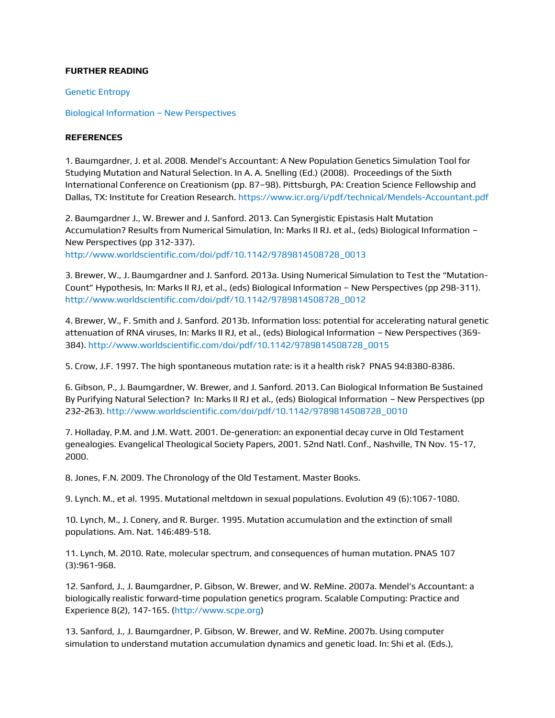### **FURTHER READING**

[Genetic Entropy](http://creation.com/search?q=genetic+entropy)

[Biological Information](http://www.biologicalinformationnewperspectives.org/) – New Perspectives

### **REFERENCES**

1. Baumgardner, J. et al. 2008. Mendel's Accountant: A New Population Genetics Simulation Tool for Studying Mutation and Natural Selection. In A. A. Snelling (Ed.) (2008). Proceedings of the Sixth International Conference on Creationism (pp. 87–98). Pittsburgh, PA: Creation Science Fellowship and Dallas, TX: Institute for Creation Research.<https://www.icr.org/i/pdf/technical/Mendels-Accountant.pdf>

2. Baumgardner J., W. Brewer and J. Sanford. 2013. Can Synergistic Epistasis Halt Mutation Accumulation? Results from Numerical Simulation, In: Marks II RJ. et al., (eds) Biological Information – New Perspectives (pp 312-337).

[http://www.worldscientific.com/doi/pdf/10.1142/9789814508728\\_0013](http://www.worldscientific.com/doi/pdf/10.1142/9789814508728_0013)

3. Brewer, W., J. Baumgardner and J. Sanford. 2013a. Using Numerical Simulation to Test the "Mutation-Count" Hypothesis, In: Marks II RJ, et al., (eds) Biological Information – New Perspectives (pp 298-311). [http://www.worldscientific.com/doi/pdf/10.1142/9789814508728\\_0012](http://www.worldscientific.com/doi/pdf/10.1142/9789814508728_0012)

4. Brewer, W., F. Smith and J. Sanford. 2013b. Information loss: potential for accelerating natural genetic attenuation of RNA viruses, In: Marks II RJ, et al., (eds) Biological Information – New Perspectives (369- 384)[. http://www.worldscientific.com/doi/pdf/10.1142/9789814508728\\_0015](http://www.worldscientific.com/doi/pdf/10.1142/9789814508728_0015)

5. Crow, J.F. 1997. The high spontaneous mutation rate: is it a health risk? PNAS 94:8380-8386.

6. Gibson, P., J. Baumgardner, W. Brewer, and J. Sanford. 2013. Can Biological Information Be Sustained By Purifying Natural Selection? In: Marks II RJ et al., (eds) Biological Information – New Perspectives (pp 232-263). [http://www.worldscientific.com/doi/pdf/10.1142/9789814508728\\_0010](http://www.worldscientific.com/doi/pdf/10.1142/9789814508728_0010)

7. Holladay, P.M. and J.M. Watt. 2001. De-generation: an exponential decay curve in Old Testament genealogies. Evangelical Theological Society Papers, 2001. 52nd Natl. Conf., Nashville, TN Nov. 15-17, 2000.

8. Jones, F.N. 2009. The Chronology of the Old Testament. Master Books.

9. Lynch. M., et al. 1995. Mutational meltdown in sexual populations. Evolution 49 (6):1067-1080.

10. Lynch, M., J. Conery, and R. Burger. 1995. Mutation accumulation and the extinction of small populations. Am. Nat. 146:489-518.

11. Lynch, M. 2010. Rate, molecular spectrum, and consequences of human mutation. PNAS 107 (3):961-968.

12. Sanford, J., J. Baumgardner, P. Gibson, W. Brewer, and W. ReMine. 2007a. Mendel's Accountant: a biologically realistic forward-time population genetics program. Scalable Computing: Practice and Experience 8(2), 147-165. [\(http://www.scpe.org\)](http://www.scpe.org/)

13. Sanford, J., J. Baumgardner, P. Gibson, W. Brewer, and W. ReMine. 2007b. Using computer simulation to understand mutation accumulation dynamics and genetic load. In: Shi et al. (Eds.),